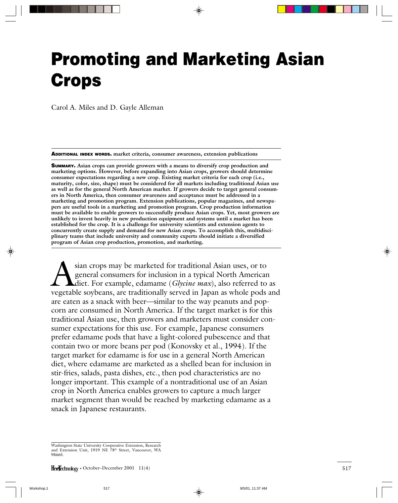# **Promoting and Marketing Asian Crops**

Carol A. Miles and D. Gayle Alleman

**ADDITIONAL INDEX WORDS. market criteria, consumer awareness, extension publications**

**SUMMARY. Asian crops can provide growers with a means to diversify crop production and marketing options. However, before expanding into Asian crops, growers should determine consumer expectations regarding a new crop. Existing market criteria for each crop (i.e., maturity, color, size, shape) must be considered for all markets including traditional Asian use as well as for the general North American market. If growers decide to target general consumers in North America, then consumer awareness and acceptance must be addressed in a marketing and promotion program. Extension publications, popular magazines, and newspapers are useful tools in a marketing and promotion program. Crop production information must be available to enable growers to successfully produce Asian crops. Yet, most growers are unlikely to invest heavily in new production equipment and systems until a market has been established for the crop. It is a challenge for university scientists and extension agents to concurrently create supply and demand for new Asian crops. To accomplish this, multidisciplinary teams that include university and community experts should initiate a diversified program of Asian crop production, promotion, and marketing.**

Sian crops may be marketed for traditional Asian uses, or to general consumers for inclusion in a typical North American<br>diet. For example, edamame (*Glycine max*), also referred to vegetable sovbeans, are traditionally se general consumers for inclusion in a typical North American diet. For example, edamame (*Glycine max*), also referred to as vegetable soybeans, are traditionally served in Japan as whole pods and are eaten as a snack with beer—similar to the way peanuts and popcorn are consumed in North America. If the target market is for this traditional Asian use, then growers and marketers must consider consumer expectations for this use. For example, Japanese consumers prefer edamame pods that have a light-colored pubescence and that contain two or more beans per pod (Konovsky et al., 1994). If the target market for edamame is for use in a general North American diet, where edamame are marketed as a shelled bean for inclusion in stir-fries, salads, pasta dishes, etc., then pod characteristics are no longer important. This example of a nontraditional use of an Asian crop in North America enables growers to capture a much larger market segment than would be reached by marketing edamame as a snack in Japanese restaurants.

Washington State University Cooperative Extension, Research and Extension Unit, 1919 NE 78th Street, Vancouver, WA 98665.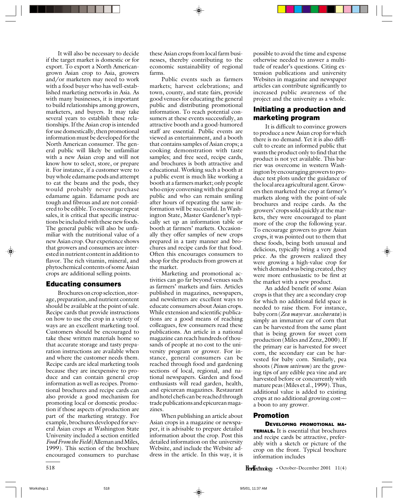It will also be necessary to decide if the target market is domestic or for export. To export a North Americangrown Asian crop to Asia, growers and/or marketers may need to work with a food buyer who has well-established marketing networks in Asia. As with many businesses, it is important to build relationships among growers, marketers, and buyers. It may take several years to establish these relationships. If the Asian crop is intended for use domestically, then promotional information must be developed for the North American consumer. The general public will likely be unfamiliar with a new Asian crop and will not know how to select, store, or prepare it. For instance, if a customer were to buy whole edamame pods and attempt to eat the beans and the pods, they would probably never purchase edamame again. Edamame pods are tough and fibrous and are not considered to be edible. To encourage repeat sales, it is critical that specific instructions be included with these new foods. The general public will also be unfamiliar with the nutritional value of a new Asian crop. Our experience shows that growers and consumers are interested in nutrient content in addition to flavor. The rich vitamin, mineral, and phytochemical contents of some Asian crops are additional selling points.

### **Educating consumers**

Brochures on crop selection, storage, preparation, and nutrient content should be available at the point of sale. Recipe cards that provide instructions on how to use the crop in a variety of ways are an excellent marketing tool. Customers should be encouraged to take these written materials home so that accurate storage and tasty preparation instructions are available when and where the customer needs them. Recipe cards are ideal marketing tools because they are inexpensive to produce and can contain general crop information as well as recipes. Promotional brochures and recipe cards can also provide a good mechanism for promoting local or domestic production if those aspects of production are part of the marketing strategy. For example, brochures developed for several Asian crops at Washington State University included a section entitled *Food From the Field* (Alleman and Miles, 1999). This section of the brochure encouraged consumers to purchase

these Asian crops from local farm businesses, thereby contributing to the economic sustainability of regional farms.

Public events such as farmers markets; harvest celebrations; and town, county, and state fairs, provide good venues for educating the general public and distributing promotional information. To reach potential consumers at these events successfully, an attractive booth and a good-humored staff are essential. Public events are viewed as entertainment, and a booth that contains samples of Asian crops; a cooking demonstration with taste samples; and free seed, recipe cards, and brochures is both attractive and educational. Working such a booth at a public event is much like working a booth at a farmers market; only people who enjoy conversing with the general public and who can remain smiling after hours of repeating the same information will be successful. In Washington State, Master Gardener's typically set up an information table or booth at farmers' markets. Occasionally they offer samples of new crops prepared in a tasty manner and brochures and recipe cards for that food. Often this encourages consumers to shop for the products from growers at the market.

Marketing and promotional activities can go far beyond venues such as farmers' markets and fairs. Articles published in magazines, newspapers, and newsletters are excellent ways to educate consumers about Asian crops. While extension and scientific publications are a good means of reaching colleagues, few consumers read these publications. An article in a national magazine can reach hundreds of thousands of people at no cost to the university program or grower. For instance, general consumers can be reached through food and gardening sections of local, regional, and national newspapers. Garden and food enthusiasts will read garden, health, and epicurean magazines. Restaurant and hotel chefs can be reached through trade publications and epicurean magazines.

When publishing an article about Asian crops in a magazine or newspaper, it is advisable to prepare detailed information about the crop. Post this detailed information on the university Website, and include the Website address in the article. In this way, it is possible to avoid the time and expense otherwise needed to answer a multitude of reader's questions. Citing extension publications and university Websites in magazine and newspaper articles can contribute significantly to increased public awareness of the project and the university as a whole.

# **Initiating a production and marketing program**

It is difficult to convince growers to produce a new Asian crop for which there is no demand. Yet it is also difficult to create an informed public that wants the product only to find that the product is not yet available. This barrier was overcome in western Washington by encouraging growers to produce test plots under the guidance of the local area agricultural agent. Growers then marketed the crop at farmer's markets along with the point-of-sale brochures and recipe cards. As the growers' crops sold quickly at the markets, they were encouraged to plant more of the crop the following year. To encourage growers to grow Asian crops, it was pointed out to them that these foods, being both unusual and delicious, typically bring a very good price. As the growers realized they were growing a high-value crop for which demand was being created, they were more enthusiastic to be first at the market with a new product.

An added benefit of some Asian crops is that they are a secondary crop for which no additional field space is needed to raise them. For instance, baby corn (*Zea mays* var. *saccharata*) is simply an immature ear of corn that can be harvested from the same plant that is being grown for sweet corn production (Miles and Zenz, 2000). If the primary ear is harvested for sweet corn, the secondary ear can be harvested for baby corn. Similarly, pea shoots (*Pisum sativum*) are the growing tips of any edible pea vine and are harvested before or concurrently with mature peas (Miles et al., 1999). Thus, additional value is added to existing crops at no additional growing cost a boon to any grower.

#### **Promotion**

**DEVELOPING PROMOTIONAL MA-TERIALS.** It is essential that brochures and recipe cards be attractive, preferably with a sketch or picture of the crop on the front. Typical brochure information includes